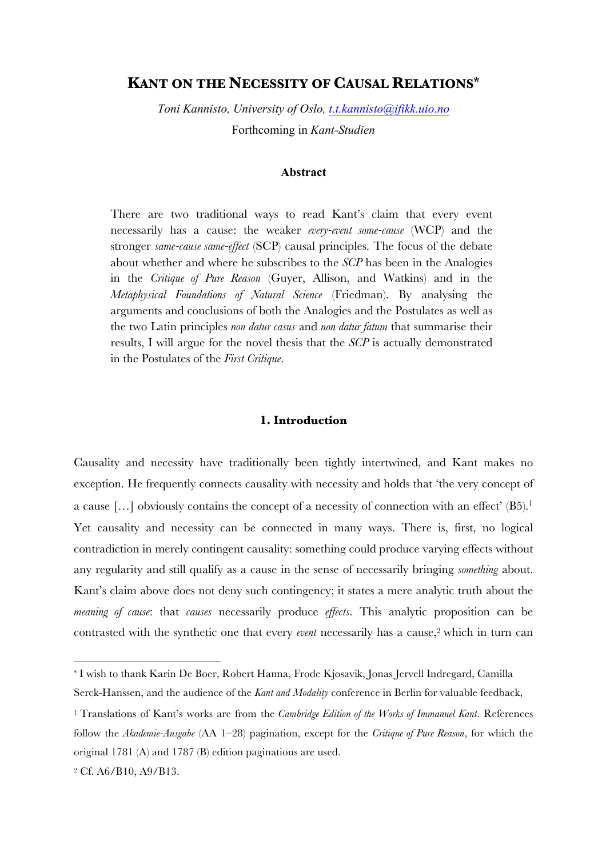# **KANT ON THE NECESSITY OF CAUSAL RELATIONS\***

*Toni Kannisto, University of Oslo, t.t.kannisto@ifikk.uio.no* Forthcoming in *Kant-Studien*

### **Abstract**

There are two traditional ways to read Kant's claim that every event necessarily has a cause: the weaker *every-event some-cause* (WCP) and the stronger *same-cause same-effect* (SCP) causal principles. The focus of the debate about whether and where he subscribes to the *SCP* has been in the Analogies in the *Critique of Pure Reason* (Guyer, Allison, and Watkins) and in the *Metaphysical Foundations of Natural Science* (Friedman). By analysing the arguments and conclusions of both the Analogies and the Postulates as well as the two Latin principles *non datur casus* and *non datur fatum* that summarise their results, I will argue for the novel thesis that the *SCP* is actually demonstrated in the Postulates of the *First Critique*.

#### **1. Introduction**

Causality and necessity have traditionally been tightly intertwined, and Kant makes no exception. He frequently connects causality with necessity and holds that 'the very concept of a cause [...] obviously contains the concept of a necessity of connection with an effect'  $(B5)$ .<sup>1</sup> Yet causality and necessity can be connected in many ways. There is, first, no logical contradiction in merely contingent causality: something could produce varying effects without any regularity and still qualify as a cause in the sense of necessarily bringing *something* about. Kant's claim above does not deny such contingency; it states a mere analytic truth about the *meaning of cause*: that *causes* necessarily produce *effects*. This analytic proposition can be contrasted with the synthetic one that every *event* necessarily has a cause,<sup>2</sup> which in turn can

<sup>\*</sup> I wish to thank Karin De Boer, Robert Hanna, Frode Kjosavik, Jonas Jervell Indregard, Camilla Serck-Hanssen, and the audience of the *Kant and Modality* conference in Berlin for valuable feedback,

<sup>1</sup> Translations of Kant's works are from the *Cambridge Edition of the Works of Immanuel Kant*. References follow the *Akademie-Ausgabe* (AA 1–28) pagination, except for the *Critique of Pure Reason*, for which the original 1781 (A) and 1787 (B) edition paginations are used.

<sup>2</sup> Cf. A6/B10, A9/B13.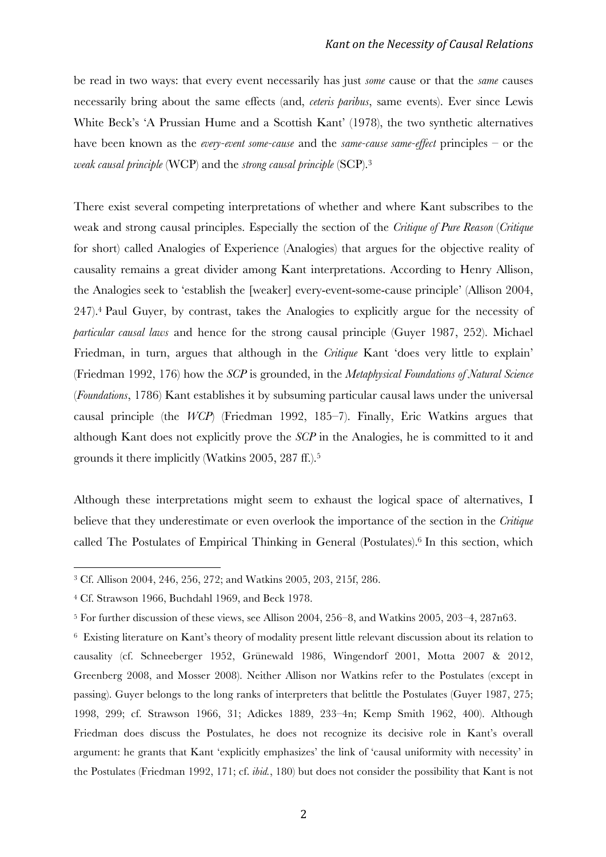be read in two ways: that every event necessarily has just *some* cause or that the *same* causes necessarily bring about the same effects (and, *ceteris paribus*, same events). Ever since Lewis White Beck's 'A Prussian Hume and a Scottish Kant' (1978), the two synthetic alternatives have been known as the *every-event some-cause* and the *same-cause same-effect* principles – or the *weak causal principle* (WCP) and the *strong causal principle* (SCP).3

There exist several competing interpretations of whether and where Kant subscribes to the weak and strong causal principles. Especially the section of the *Critique of Pure Reason* (*Critique* for short) called Analogies of Experience (Analogies) that argues for the objective reality of causality remains a great divider among Kant interpretations. According to Henry Allison, the Analogies seek to 'establish the [weaker] every-event-some-cause principle' (Allison 2004, 247).4 Paul Guyer, by contrast, takes the Analogies to explicitly argue for the necessity of *particular causal laws* and hence for the strong causal principle (Guyer 1987, 252). Michael Friedman, in turn, argues that although in the *Critique* Kant 'does very little to explain' (Friedman 1992, 176) how the *SCP* is grounded, in the *Metaphysical Foundations of Natural Science*  (*Foundations*, 1786) Kant establishes it by subsuming particular causal laws under the universal causal principle (the *WCP*) (Friedman 1992, 185–7). Finally, Eric Watkins argues that although Kant does not explicitly prove the *SCP* in the Analogies, he is committed to it and grounds it there implicitly (Watkins 2005, 287 ff.).5

Although these interpretations might seem to exhaust the logical space of alternatives, I believe that they underestimate or even overlook the importance of the section in the *Critique*  called The Postulates of Empirical Thinking in General (Postulates).6 In this section, which

<sup>3</sup> Cf. Allison 2004, 246, 256, 272; and Watkins 2005, 203, 215f, 286.

<sup>4</sup> Cf. Strawson 1966, Buchdahl 1969, and Beck 1978.

<sup>5</sup> For further discussion of these views, see Allison 2004, 256–8, and Watkins 2005, 203–4, 287n63.

<sup>6</sup> Existing literature on Kant's theory of modality present little relevant discussion about its relation to causality (cf. Schneeberger 1952, Grünewald 1986, Wingendorf 2001, Motta 2007 & 2012, Greenberg 2008, and Mosser 2008). Neither Allison nor Watkins refer to the Postulates (except in passing). Guyer belongs to the long ranks of interpreters that belittle the Postulates (Guyer 1987, 275; 1998, 299; cf. Strawson 1966, 31; Adickes 1889, 233–4n; Kemp Smith 1962, 400). Although Friedman does discuss the Postulates, he does not recognize its decisive role in Kant's overall argument: he grants that Kant 'explicitly emphasizes' the link of 'causal uniformity with necessity' in the Postulates (Friedman 1992, 171; cf. *ibid.*, 180) but does not consider the possibility that Kant is not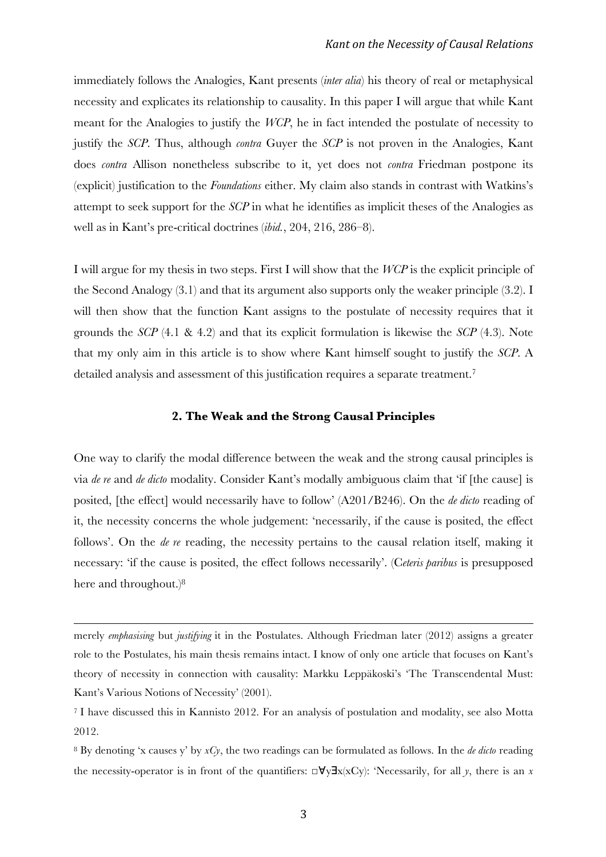immediately follows the Analogies, Kant presents (*inter alia*) his theory of real or metaphysical necessity and explicates its relationship to causality. In this paper I will argue that while Kant meant for the Analogies to justify the *WCP*, he in fact intended the postulate of necessity to justify the *SCP*. Thus, although *contra* Guyer the *SCP* is not proven in the Analogies, Kant does *contra* Allison nonetheless subscribe to it, yet does not *contra* Friedman postpone its (explicit) justification to the *Foundations* either. My claim also stands in contrast with Watkins's attempt to seek support for the *SCP* in what he identifies as implicit theses of the Analogies as well as in Kant's pre-critical doctrines (*ibid.*, 204, 216, 286–8).

I will argue for my thesis in two steps. First I will show that the *WCP* is the explicit principle of the Second Analogy (3.1) and that its argument also supports only the weaker principle (3.2). I will then show that the function Kant assigns to the postulate of necessity requires that it grounds the *SCP* (4.1 & 4.2) and that its explicit formulation is likewise the *SCP* (4.3). Note that my only aim in this article is to show where Kant himself sought to justify the *SCP*. A detailed analysis and assessment of this justification requires a separate treatment.<sup>7</sup>

#### **2. The Weak and the Strong Causal Principles**

One way to clarify the modal difference between the weak and the strong causal principles is via *de re* and *de dicto* modality. Consider Kant's modally ambiguous claim that 'if [the cause] is posited, [the effect] would necessarily have to follow' (A201/B246). On the *de dicto* reading of it, the necessity concerns the whole judgement: 'necessarily, if the cause is posited, the effect follows'. On the *de re* reading, the necessity pertains to the causal relation itself, making it necessary: 'if the cause is posited, the effect follows necessarily'. (C*eteris paribus* is presupposed here and throughout.)<sup>8</sup>

<u> 1989 - Andrea Santa Andrea Andrea Andrea Andrea Andrea Andrea Andrea Andrea Andrea Andrea Andrea Andrea Andr</u>

merely *emphasising* but *justifying* it in the Postulates. Although Friedman later (2012) assigns a greater role to the Postulates, his main thesis remains intact. I know of only one article that focuses on Kant's theory of necessity in connection with causality: Markku Leppäkoski's 'The Transcendental Must: Kant's Various Notions of Necessity' (2001).

<sup>7</sup> I have discussed this in Kannisto 2012. For an analysis of postulation and modality, see also Motta 2012.

<sup>8</sup> By denoting 'x causes y' by *xCy*, the two readings can be formulated as follows. In the *de dicto* reading the necessity-operator is in front of the quantifiers:  $\Box \forall y \exists x(xCy)$ : 'Necessarily, for all *y*, there is an *x*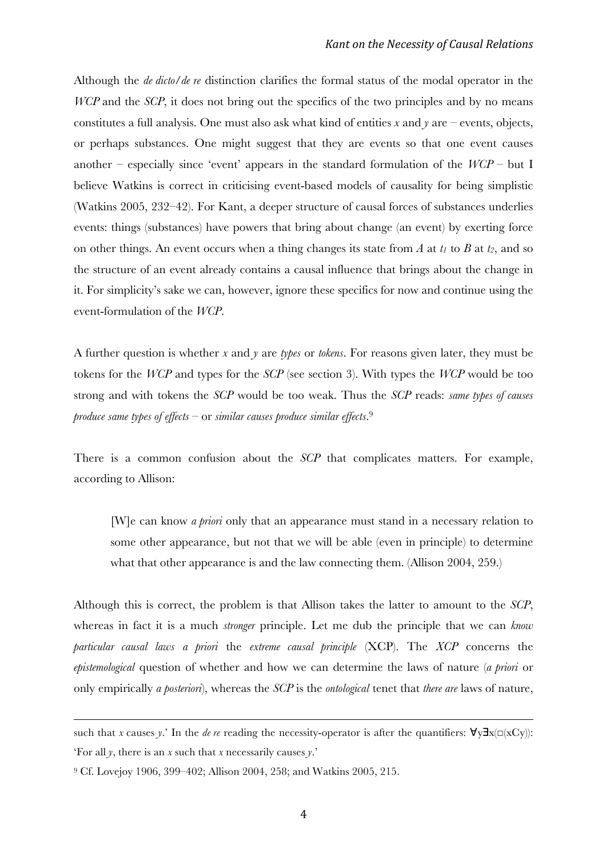Although the *de dicto*/*de re* distinction clarifies the formal status of the modal operator in the *WCP* and the *SCP*, it does not bring out the specifics of the two principles and by no means constitutes a full analysis. One must also ask what kind of entities *x* and *y* are – events, objects, or perhaps substances. One might suggest that they are events so that one event causes another – especially since 'event' appears in the standard formulation of the  $WCP$  – but I believe Watkins is correct in criticising event-based models of causality for being simplistic (Watkins 2005, 232–42). For Kant, a deeper structure of causal forces of substances underlies events: things (substances) have powers that bring about change (an event) by exerting force on other things. An event occurs when a thing changes its state from  $\hat{A}$  at  $t_1$  to  $\hat{B}$  at  $t_2$ , and so the structure of an event already contains a causal influence that brings about the change in it. For simplicity's sake we can, however, ignore these specifics for now and continue using the event-formulation of the *WCP*.

A further question is whether *x* and *y* are *types* or *tokens*. For reasons given later, they must be tokens for the *WCP* and types for the *SCP* (see section 3). With types the *WCP* would be too strong and with tokens the *SCP* would be too weak. Thus the *SCP* reads: *same types of causes produce same types of effects* – or *similar causes produce similar effects*. 9

There is a common confusion about the *SCP* that complicates matters. For example, according to Allison:

[W]e can know *a priori* only that an appearance must stand in a necessary relation to some other appearance, but not that we will be able (even in principle) to determine what that other appearance is and the law connecting them. (Allison 2004, 259.)

Although this is correct, the problem is that Allison takes the latter to amount to the *SCP*, whereas in fact it is a much *stronger* principle. Let me dub the principle that we can *know particular causal laws a priori* the *extreme causal principle* (XCP). The *XCP* concerns the *epistemological* question of whether and how we can determine the laws of nature (*a priori* or only empirically *a posteriori*), whereas the *SCP* is the *ontological* tenet that *there are* laws of nature,

<u> 1989 - Andrea Santa Andrea Andrea Andrea Andrea Andrea Andrea Andrea Andrea Andrea Andrea Andrea Andrea Andr</u>

such that *x* causes *y*.' In the *de re* reading the necessity-operator is after the quantifiers:  $\forall y \exists x (\Box(xCy))$ : 'For all *y*, there is an *x* such that *x* necessarily causes *y*.'

<sup>9</sup> Cf. Lovejoy 1906, 399–402; Allison 2004, 258; and Watkins 2005, 215.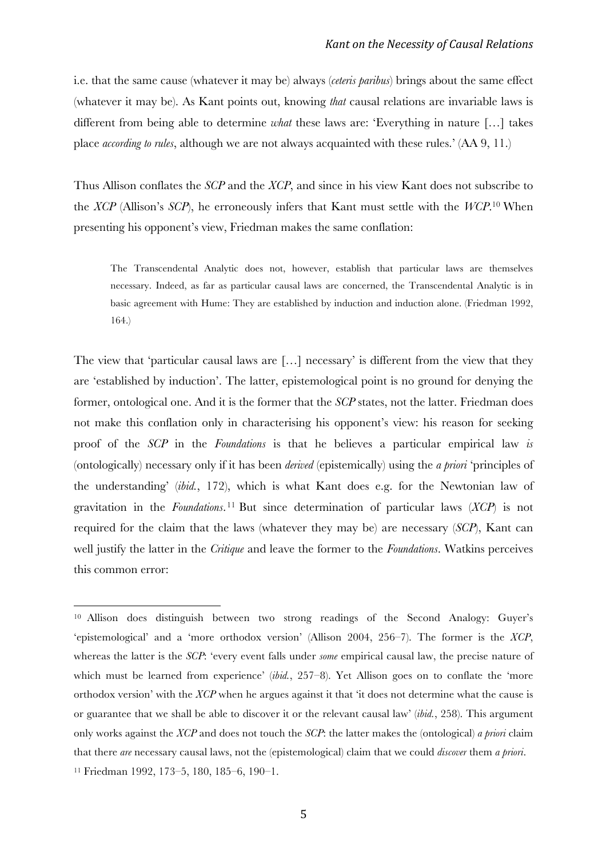i.e. that the same cause (whatever it may be) always (*ceteris paribus*) brings about the same effect (whatever it may be). As Kant points out, knowing *that* causal relations are invariable laws is different from being able to determine *what* these laws are: 'Everything in nature […] takes place *according to rules*, although we are not always acquainted with these rules.' (AA 9, 11.)

Thus Allison conflates the *SCP* and the *XCP*, and since in his view Kant does not subscribe to the *XCP* (Allison's *SCP*), he erroneously infers that Kant must settle with the *WCP*. <sup>10</sup> When presenting his opponent's view, Friedman makes the same conflation:

The Transcendental Analytic does not, however, establish that particular laws are themselves necessary. Indeed, as far as particular causal laws are concerned, the Transcendental Analytic is in basic agreement with Hume: They are established by induction and induction alone. (Friedman 1992, 164.)

The view that 'particular causal laws are […] necessary' is different from the view that they are 'established by induction'. The latter, epistemological point is no ground for denying the former, ontological one. And it is the former that the *SCP* states, not the latter. Friedman does not make this conflation only in characterising his opponent's view: his reason for seeking proof of the *SCP* in the *Foundations* is that he believes a particular empirical law *is* (ontologically) necessary only if it has been *derived* (epistemically) using the *a priori* 'principles of the understanding' (*ibid.*, 172), which is what Kant does e.g. for the Newtonian law of gravitation in the *Foundations*.11 But since determination of particular laws (*XCP*) is not required for the claim that the laws (whatever they may be) are necessary (*SCP*), Kant can well justify the latter in the *Critique* and leave the former to the *Foundations*. Watkins perceives this common error:

<sup>10</sup> Allison does distinguish between two strong readings of the Second Analogy: Guyer's 'epistemological' and a 'more orthodox version' (Allison 2004, 256–7). The former is the *XCP*, whereas the latter is the *SCP*: 'every event falls under *some* empirical causal law, the precise nature of which must be learned from experience' *(ibid.*, 257–8). Yet Allison goes on to conflate the 'more orthodox version' with the *XCP* when he argues against it that 'it does not determine what the cause is or guarantee that we shall be able to discover it or the relevant causal law' (*ibid.*, 258). This argument only works against the *XCP* and does not touch the *SCP*: the latter makes the (ontological) *a priori* claim that there *are* necessary causal laws, not the (epistemological) claim that we could *discover* them *a priori*. <sup>11</sup> Friedman 1992, 173–5, 180, 185–6, 190–1.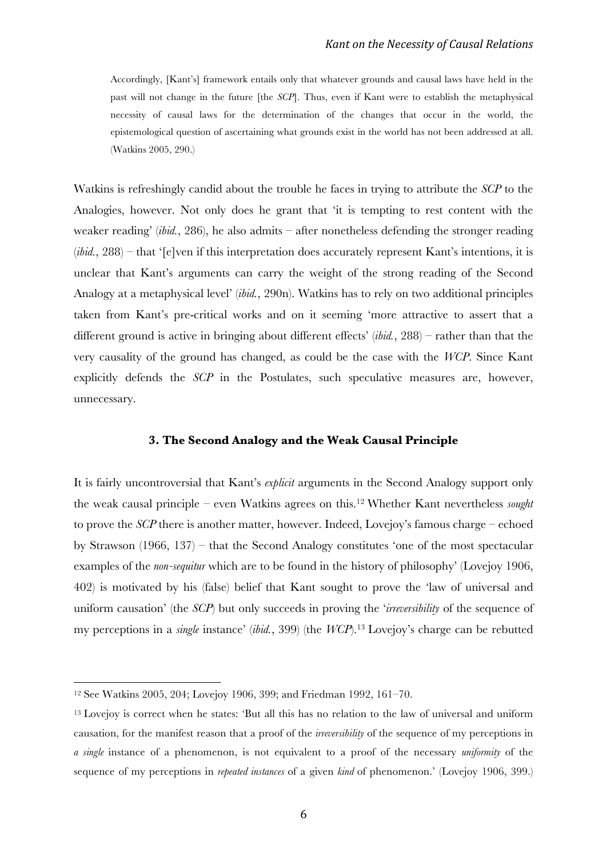Accordingly, [Kant's] framework entails only that whatever grounds and causal laws have held in the past will not change in the future [the *SCP*]. Thus, even if Kant were to establish the metaphysical necessity of causal laws for the determination of the changes that occur in the world, the epistemological question of ascertaining what grounds exist in the world has not been addressed at all. (Watkins 2005, 290.)

Watkins is refreshingly candid about the trouble he faces in trying to attribute the *SCP* to the Analogies, however. Not only does he grant that 'it is tempting to rest content with the weaker reading' (*ibid.*, 286), he also admits – after nonetheless defending the stronger reading (*ibid.*, 288) – that '[e]ven if this interpretation does accurately represent Kant's intentions, it is unclear that Kant's arguments can carry the weight of the strong reading of the Second Analogy at a metaphysical level' (*ibid.*, 290n). Watkins has to rely on two additional principles taken from Kant's pre-critical works and on it seeming 'more attractive to assert that a different ground is active in bringing about different effects' (*ibid.*, 288) – rather than that the very causality of the ground has changed, as could be the case with the *WCP*. Since Kant explicitly defends the *SCP* in the Postulates, such speculative measures are, however, unnecessary.

### **3. The Second Analogy and the Weak Causal Principle**

It is fairly uncontroversial that Kant's *explicit* arguments in the Second Analogy support only the weak causal principle – even Watkins agrees on this. <sup>12</sup> Whether Kant nevertheless *sought* to prove the *SCP* there is another matter, however. Indeed, Lovejoy's famous charge – echoed by Strawson (1966, 137) – that the Second Analogy constitutes 'one of the most spectacular examples of the *non-sequitur* which are to be found in the history of philosophy' (Lovejoy 1906, 402) is motivated by his (false) belief that Kant sought to prove the 'law of universal and uniform causation' (the *SCP*) but only succeeds in proving the '*irreversibility* of the sequence of my perceptions in a *single* instance' (*ibid.*, 399) (the *WCP*).13 Lovejoy's charge can be rebutted

<sup>12</sup> See Watkins 2005, 204; Lovejoy 1906, 399; and Friedman 1992, 161–70.

<sup>13</sup> Lovejoy is correct when he states: 'But all this has no relation to the law of universal and uniform causation, for the manifest reason that a proof of the *irreversibility* of the sequence of my perceptions in *a single* instance of a phenomenon, is not equivalent to a proof of the necessary *uniformity* of the sequence of my perceptions in *repeated instances* of a given *kind* of phenomenon.' (Lovejoy 1906, 399.)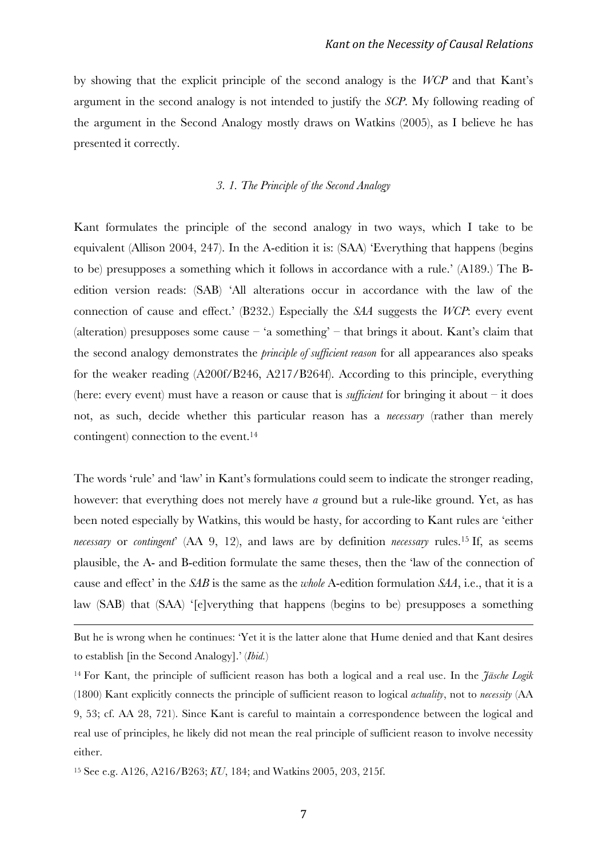by showing that the explicit principle of the second analogy is the *WCP* and that Kant's argument in the second analogy is not intended to justify the *SCP*. My following reading of the argument in the Second Analogy mostly draws on Watkins (2005), as I believe he has presented it correctly.

## *3. 1. The Principle of the Second Analogy*

Kant formulates the principle of the second analogy in two ways, which I take to be equivalent (Allison 2004, 247). In the A-edition it is: (SAA) 'Everything that happens (begins to be) presupposes a something which it follows in accordance with a rule.' (A189.) The Bedition version reads: (SAB) 'All alterations occur in accordance with the law of the connection of cause and effect.' (B232.) Especially the *SAA* suggests the *WCP*: every event (alteration) presupposes some cause  $-$  'a something'  $-$  that brings it about. Kant's claim that the second analogy demonstrates the *principle of sufficient reason* for all appearances also speaks for the weaker reading (A200f/B246, A217/B264f). According to this principle, everything (here: every event) must have a reason or cause that is *sufficient* for bringing it about – it does not, as such, decide whether this particular reason has a *necessary* (rather than merely contingent) connection to the event.14

The words 'rule' and 'law' in Kant's formulations could seem to indicate the stronger reading, however: that everything does not merely have *a* ground but a rule-like ground. Yet, as has been noted especially by Watkins, this would be hasty, for according to Kant rules are 'either *necessary* or *contingent*' (AA 9, 12), and laws are by definition *necessary* rules.15 If, as seems plausible, the A- and B-edition formulate the same theses, then the 'law of the connection of cause and effect' in the *SAB* is the same as the *whole* A-edition formulation *SAA*, i.e., that it is a law (SAB) that (SAA) '[e]verything that happens (begins to be) presupposes a something

<u> 1989 - Andrea Santa Andrea Andrea Andrea Andrea Andrea Andrea Andrea Andrea Andrea Andrea Andrea Andrea Andr</u>

But he is wrong when he continues: 'Yet it is the latter alone that Hume denied and that Kant desires to establish [in the Second Analogy].' (*Ibid.*)

<sup>14</sup> For Kant, the principle of sufficient reason has both a logical and a real use. In the *Jäsche Logik* (1800) Kant explicitly connects the principle of sufficient reason to logical *actuality*, not to *necessity* (AA 9, 53; cf. AA 28, 721). Since Kant is careful to maintain a correspondence between the logical and real use of principles, he likely did not mean the real principle of sufficient reason to involve necessity either.

<sup>15</sup> See e.g. A126, A216/B263; *KU*, 184; and Watkins 2005, 203, 215f.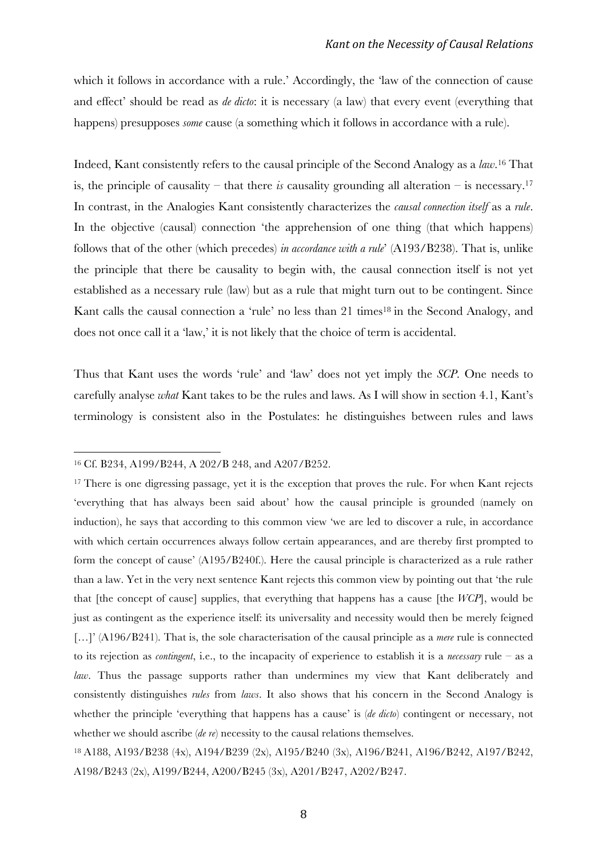which it follows in accordance with a rule.' Accordingly, the 'law of the connection of cause and effect' should be read as *de dicto*: it is necessary (a law) that every event (everything that happens) presupposes *some* cause (a something which it follows in accordance with a rule).

Indeed, Kant consistently refers to the causal principle of the Second Analogy as a *law*. <sup>16</sup> That is, the principle of causality – that there *is* causality grounding all alteration – is necessary.<sup>17</sup> In contrast, in the Analogies Kant consistently characterizes the *causal connection itself* as a *rule*. In the objective (causal) connection 'the apprehension of one thing (that which happens) follows that of the other (which precedes) *in accordance with a rule*' (A193/B238). That is, unlike the principle that there be causality to begin with, the causal connection itself is not yet established as a necessary rule (law) but as a rule that might turn out to be contingent. Since Kant calls the causal connection a 'rule' no less than 21 times<sup>18</sup> in the Second Analogy, and does not once call it a 'law,' it is not likely that the choice of term is accidental.

Thus that Kant uses the words 'rule' and 'law' does not yet imply the *SCP*. One needs to carefully analyse *what* Kant takes to be the rules and laws. As I will show in section 4.1, Kant's terminology is consistent also in the Postulates: he distinguishes between rules and laws

<sup>16</sup> Cf. B234, A199/B244, A 202/B 248, and A207/B252.

<sup>&</sup>lt;sup>17</sup> There is one digressing passage, yet it is the exception that proves the rule. For when Kant rejects 'everything that has always been said about' how the causal principle is grounded (namely on induction), he says that according to this common view 'we are led to discover a rule, in accordance with which certain occurrences always follow certain appearances, and are thereby first prompted to form the concept of cause' (A195/B240f.). Here the causal principle is characterized as a rule rather than a law. Yet in the very next sentence Kant rejects this common view by pointing out that 'the rule that [the concept of cause] supplies, that everything that happens has a cause [the *WCP*], would be just as contingent as the experience itself: its universality and necessity would then be merely feigned […]' (A196/B241). That is, the sole characterisation of the causal principle as a *mere* rule is connected to its rejection as *contingent*, i.e., to the incapacity of experience to establish it is a *necessary* rule – as a *law*. Thus the passage supports rather than undermines my view that Kant deliberately and consistently distinguishes *rules* from *laws*. It also shows that his concern in the Second Analogy is whether the principle 'everything that happens has a cause' is (*de dicto*) contingent or necessary, not whether we should ascribe *(de re)* necessity to the causal relations themselves.

<sup>18</sup> A188, A193/B238 (4x), A194/B239 (2x), A195/B240 (3x), A196/B241, A196/B242, A197/B242, A198/B243 (2x), A199/B244, A200/B245 (3x), A201/B247, A202/B247.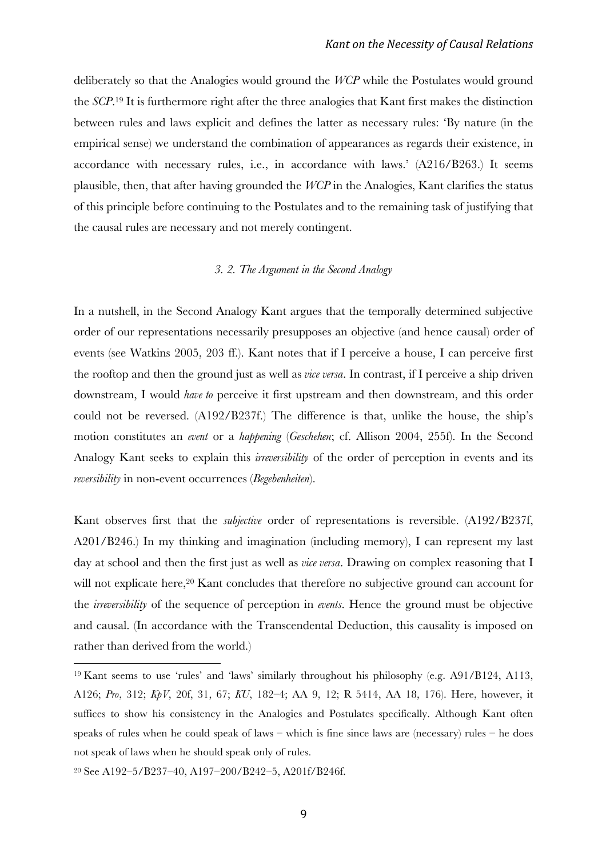deliberately so that the Analogies would ground the *WCP* while the Postulates would ground the *SCP*. <sup>19</sup> It is furthermore right after the three analogies that Kant first makes the distinction between rules and laws explicit and defines the latter as necessary rules: 'By nature (in the empirical sense) we understand the combination of appearances as regards their existence, in accordance with necessary rules, i.e., in accordance with laws.' (A216/B263.) It seems plausible, then, that after having grounded the *WCP* in the Analogies, Kant clarifies the status of this principle before continuing to the Postulates and to the remaining task of justifying that the causal rules are necessary and not merely contingent.

### *3. 2. The Argument in the Second Analogy*

In a nutshell, in the Second Analogy Kant argues that the temporally determined subjective order of our representations necessarily presupposes an objective (and hence causal) order of events (see Watkins 2005, 203 ff.). Kant notes that if I perceive a house, I can perceive first the rooftop and then the ground just as well as *vice versa*. In contrast, if I perceive a ship driven downstream, I would *have to* perceive it first upstream and then downstream, and this order could not be reversed. (A192/B237f.) The difference is that, unlike the house, the ship's motion constitutes an *event* or a *happening* (*Geschehen*; cf. Allison 2004, 255f). In the Second Analogy Kant seeks to explain this *irreversibility* of the order of perception in events and its *reversibility* in non-event occurrences (*Begebenheiten*).

Kant observes first that the *subjective* order of representations is reversible. (A192/B237f, A201/B246.) In my thinking and imagination (including memory), I can represent my last day at school and then the first just as well as *vice versa*. Drawing on complex reasoning that I will not explicate here,<sup>20</sup> Kant concludes that therefore no subjective ground can account for the *irreversibility* of the sequence of perception in *events*. Hence the ground must be objective and causal. (In accordance with the Transcendental Deduction, this causality is imposed on rather than derived from the world.)

<sup>19</sup> Kant seems to use 'rules' and 'laws' similarly throughout his philosophy (e.g. A91/B124, A113, A126; *Pro*, 312; *KpV*, 20f, 31, 67; *KU*, 182–4; AA 9, 12; R 5414, AA 18, 176). Here, however, it suffices to show his consistency in the Analogies and Postulates specifically. Although Kant often speaks of rules when he could speak of laws – which is fine since laws are (necessary) rules – he does not speak of laws when he should speak only of rules.

<sup>20</sup> See A192–5/B237–40, A197–200/B242–5, A201f/B246f.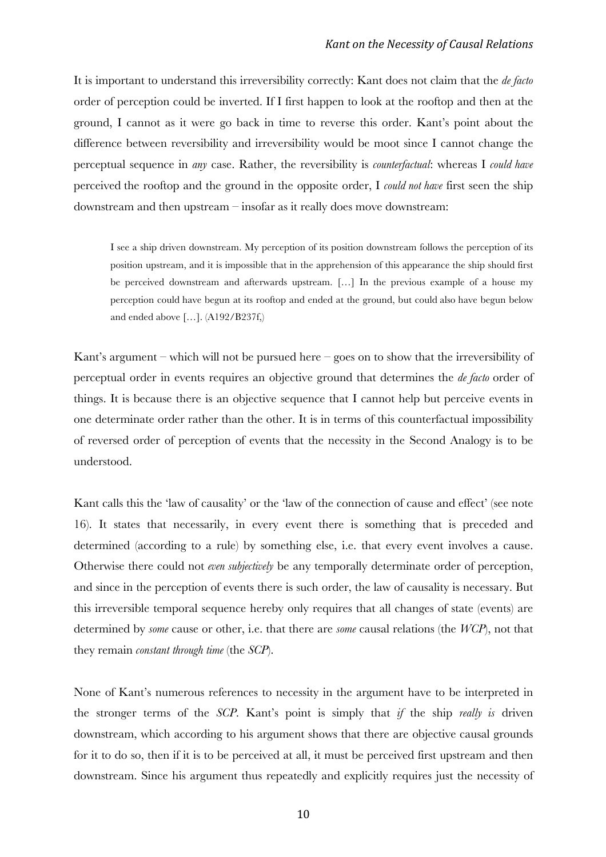It is important to understand this irreversibility correctly: Kant does not claim that the *de facto* order of perception could be inverted. If I first happen to look at the rooftop and then at the ground, I cannot as it were go back in time to reverse this order. Kant's point about the difference between reversibility and irreversibility would be moot since I cannot change the perceptual sequence in *any* case. Rather, the reversibility is *counterfactual*: whereas I *could have*  perceived the rooftop and the ground in the opposite order, I *could not have* first seen the ship downstream and then upstream – insofar as it really does move downstream:

I see a ship driven downstream. My perception of its position downstream follows the perception of its position upstream, and it is impossible that in the apprehension of this appearance the ship should first be perceived downstream and afterwards upstream. […] In the previous example of a house my perception could have begun at its rooftop and ended at the ground, but could also have begun below and ended above […]. (A192/B237f,)

Kant's argument – which will not be pursued here – goes on to show that the irreversibility of perceptual order in events requires an objective ground that determines the *de facto* order of things. It is because there is an objective sequence that I cannot help but perceive events in one determinate order rather than the other. It is in terms of this counterfactual impossibility of reversed order of perception of events that the necessity in the Second Analogy is to be understood.

Kant calls this the 'law of causality' or the 'law of the connection of cause and effect' (see note 16). It states that necessarily, in every event there is something that is preceded and determined (according to a rule) by something else, i.e. that every event involves a cause. Otherwise there could not *even subjectively* be any temporally determinate order of perception, and since in the perception of events there is such order, the law of causality is necessary. But this irreversible temporal sequence hereby only requires that all changes of state (events) are determined by *some* cause or other, i.e. that there are *some* causal relations (the *WCP*), not that they remain *constant through time* (the *SCP*).

None of Kant's numerous references to necessity in the argument have to be interpreted in the stronger terms of the *SCP*. Kant's point is simply that *if* the ship *really is* driven downstream, which according to his argument shows that there are objective causal grounds for it to do so, then if it is to be perceived at all, it must be perceived first upstream and then downstream. Since his argument thus repeatedly and explicitly requires just the necessity of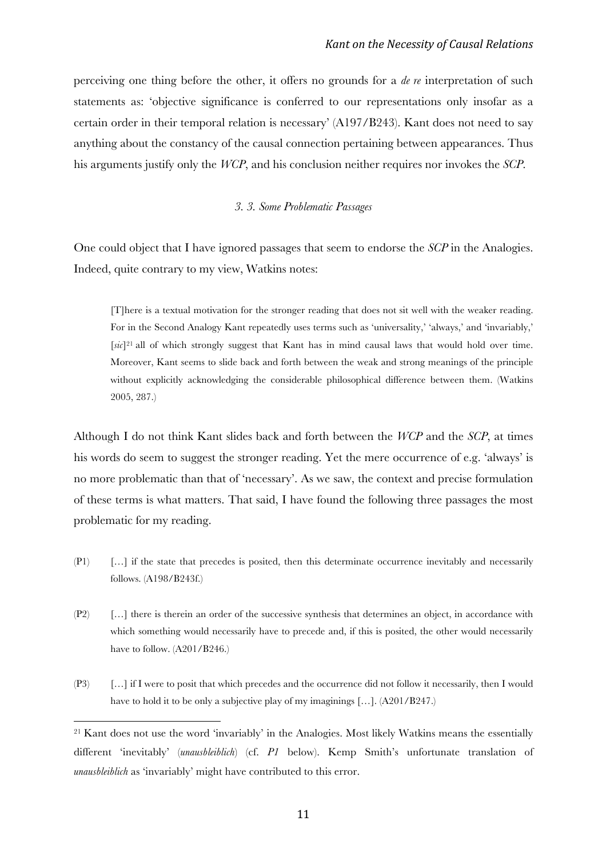perceiving one thing before the other, it offers no grounds for a *de re* interpretation of such statements as: 'objective significance is conferred to our representations only insofar as a certain order in their temporal relation is necessary' (A197/B243). Kant does not need to say anything about the constancy of the causal connection pertaining between appearances. Thus his arguments justify only the *WCP*, and his conclusion neither requires nor invokes the *SCP*.

### *3. 3. Some Problematic Passages*

One could object that I have ignored passages that seem to endorse the *SCP* in the Analogies. Indeed, quite contrary to my view, Watkins notes:

[T]here is a textual motivation for the stronger reading that does not sit well with the weaker reading. For in the Second Analogy Kant repeatedly uses terms such as 'universality,' 'always,' and 'invariably,' [*sic*]21 all of which strongly suggest that Kant has in mind causal laws that would hold over time. Moreover, Kant seems to slide back and forth between the weak and strong meanings of the principle without explicitly acknowledging the considerable philosophical difference between them. (Watkins 2005, 287.)

Although I do not think Kant slides back and forth between the *WCP* and the *SCP*, at times his words do seem to suggest the stronger reading. Yet the mere occurrence of e.g. 'always' is no more problematic than that of 'necessary'. As we saw, the context and precise formulation of these terms is what matters. That said, I have found the following three passages the most problematic for my reading.

- (P1) […] if the state that precedes is posited, then this determinate occurrence inevitably and necessarily follows. (A198/B243f.)
- (P2) […] there is therein an order of the successive synthesis that determines an object, in accordance with which something would necessarily have to precede and, if this is posited, the other would necessarily have to follow.  $(A201/B246.)$
- (P3) […] if I were to posit that which precedes and the occurrence did not follow it necessarily, then I would have to hold it to be only a subjective play of my imaginings [...]. (A201/B247.)

<sup>21</sup> Kant does not use the word 'invariably' in the Analogies. Most likely Watkins means the essentially different 'inevitably' (*unausbleiblich*) (cf. *P1* below). Kemp Smith's unfortunate translation of *unausbleiblich* as 'invariably' might have contributed to this error.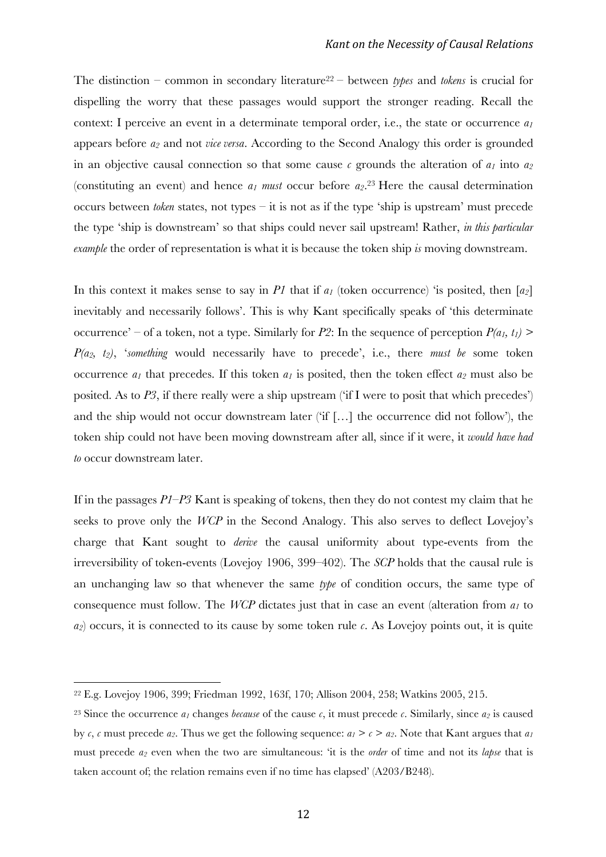The distinction – common in secondary literature<sup>22</sup> – between *types* and *tokens* is crucial for dispelling the worry that these passages would support the stronger reading. Recall the context: I perceive an event in a determinate temporal order, i.e., the state or occurrence *a1* appears before *a2* and not *vice versa*. According to the Second Analogy this order is grounded in an objective causal connection so that some cause  $c$  grounds the alteration of  $a_1$  into  $a_2$ (constituting an event) and hence  $a_1$  *must* occur before  $a_2$ .<sup>23</sup> Here the causal determination occurs between *token* states, not types – it is not as if the type 'ship is upstream' must precede the type 'ship is downstream' so that ships could never sail upstream! Rather, *in this particular example* the order of representation is what it is because the token ship *is* moving downstream.

In this context it makes sense to say in *P1* that if  $a_1$  (token occurrence) 'is posited, then  $[a_2]$ inevitably and necessarily follows'. This is why Kant specifically speaks of 'this determinate occurrence' – of a token, not a type. Similarly for *P2*: In the sequence of perception  $P(a_1, t_1)$  > *P(a2, t2)*, '*something* would necessarily have to precede', i.e., there *must be* some token occurrence  $a_1$  that precedes. If this token  $a_1$  is posited, then the token effect  $a_2$  must also be posited. As to *P3*, if there really were a ship upstream ('if I were to posit that which precedes') and the ship would not occur downstream later ('if […] the occurrence did not follow'), the token ship could not have been moving downstream after all, since if it were, it *would have had to* occur downstream later.

If in the passages *P1–P3* Kant is speaking of tokens, then they do not contest my claim that he seeks to prove only the *WCP* in the Second Analogy. This also serves to deflect Lovejoy's charge that Kant sought to *derive* the causal uniformity about type-events from the irreversibility of token-events (Lovejoy 1906, 399–402). The *SCP* holds that the causal rule is an unchanging law so that whenever the same *type* of condition occurs, the same type of consequence must follow. The *WCP* dictates just that in case an event (alteration from *a1* to *a2*) occurs, it is connected to its cause by some token rule *c*. As Lovejoy points out, it is quite

<sup>22</sup> E.g. Lovejoy 1906, 399; Friedman 1992, 163f, 170; Allison 2004, 258; Watkins 2005, 215.

<sup>&</sup>lt;sup>23</sup> Since the occurrence  $a_1$  changes *because* of the cause  $c$ , it must precede  $c$ . Similarly, since  $a_2$  is caused by  $c$ ,  $c$  must precede  $a_2$ . Thus we get the following sequence:  $a_1 > c > a_2$ . Note that Kant argues that  $a_1$ must precede *a2* even when the two are simultaneous: 'it is the *order* of time and not its *lapse* that is taken account of; the relation remains even if no time has elapsed' (A203/B248).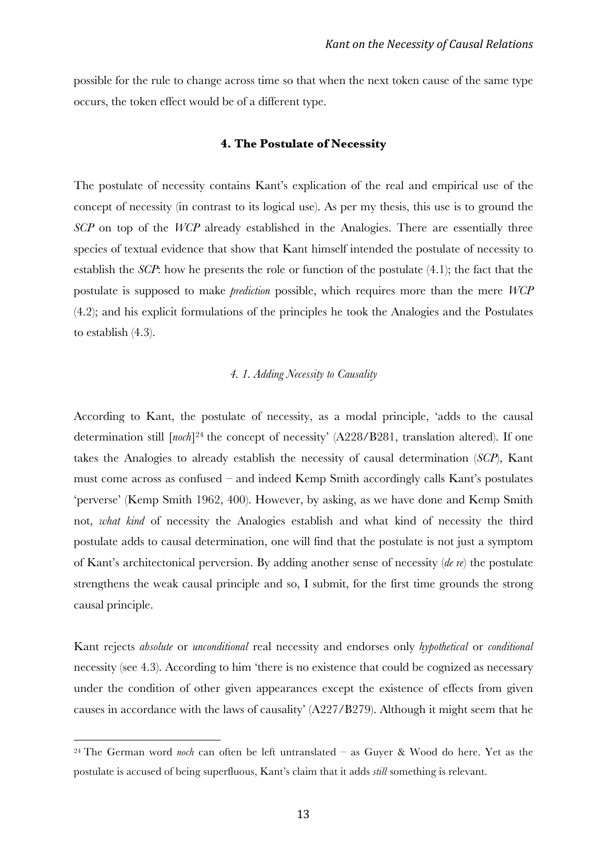possible for the rule to change across time so that when the next token cause of the same type occurs, the token effect would be of a different type.

#### **4. The Postulate of Necessity**

The postulate of necessity contains Kant's explication of the real and empirical use of the concept of necessity (in contrast to its logical use). As per my thesis, this use is to ground the *SCP* on top of the *WCP* already established in the Analogies. There are essentially three species of textual evidence that show that Kant himself intended the postulate of necessity to establish the *SCP*: how he presents the role or function of the postulate (4.1); the fact that the postulate is supposed to make *prediction* possible, which requires more than the mere *WCP* (4.2); and his explicit formulations of the principles he took the Analogies and the Postulates to establish (4.3).

#### *4. 1. Adding Necessity to Causality*

According to Kant, the postulate of necessity, as a modal principle, 'adds to the causal determination still [*noch*]24 the concept of necessity' (A228/B281, translation altered). If one takes the Analogies to already establish the necessity of causal determination (*SCP*), Kant must come across as confused – and indeed Kemp Smith accordingly calls Kant's postulates 'perverse' (Kemp Smith 1962, 400). However, by asking, as we have done and Kemp Smith not, *what kind* of necessity the Analogies establish and what kind of necessity the third postulate adds to causal determination, one will find that the postulate is not just a symptom of Kant's architectonical perversion. By adding another sense of necessity (*de re*) the postulate strengthens the weak causal principle and so, I submit, for the first time grounds the strong causal principle.

Kant rejects *absolute* or *unconditional* real necessity and endorses only *hypothetical* or *conditional* necessity (see 4.3). According to him 'there is no existence that could be cognized as necessary under the condition of other given appearances except the existence of effects from given causes in accordance with the laws of causality' (A227/B279). Although it might seem that he

<sup>24</sup> The German word *noch* can often be left untranslated – as Guyer & Wood do here. Yet as the postulate is accused of being superfluous, Kant's claim that it adds *still* something is relevant.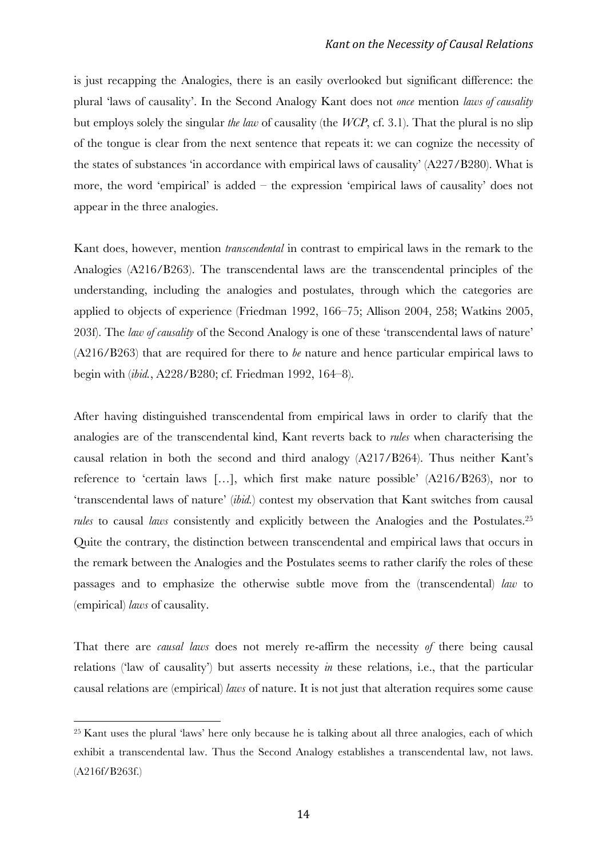is just recapping the Analogies, there is an easily overlooked but significant difference: the plural 'laws of causality'. In the Second Analogy Kant does not *once* mention *laws of causality* but employs solely the singular *the law* of causality (the *WCP*, cf. 3.1). That the plural is no slip of the tongue is clear from the next sentence that repeats it: we can cognize the necessity of the states of substances 'in accordance with empirical laws of causality' (A227/B280). What is more, the word 'empirical' is added – the expression 'empirical laws of causality' does not appear in the three analogies.

Kant does, however, mention *transcendental* in contrast to empirical laws in the remark to the Analogies (A216/B263). The transcendental laws are the transcendental principles of the understanding, including the analogies and postulates, through which the categories are applied to objects of experience (Friedman 1992, 166–75; Allison 2004, 258; Watkins 2005, 203f). The *law of causality* of the Second Analogy is one of these 'transcendental laws of nature' (A216/B263) that are required for there to *be* nature and hence particular empirical laws to begin with (*ibid.*, A228/B280; cf. Friedman 1992, 164–8).

After having distinguished transcendental from empirical laws in order to clarify that the analogies are of the transcendental kind, Kant reverts back to *rules* when characterising the causal relation in both the second and third analogy (A217/B264). Thus neither Kant's reference to 'certain laws […], which first make nature possible' (A216/B263), nor to 'transcendental laws of nature' (*ibid.*) contest my observation that Kant switches from causal *rules* to causal *laws* consistently and explicitly between the Analogies and the Postulates.25 Quite the contrary, the distinction between transcendental and empirical laws that occurs in the remark between the Analogies and the Postulates seems to rather clarify the roles of these passages and to emphasize the otherwise subtle move from the (transcendental) *law* to (empirical) *laws* of causality.

That there are *causal laws* does not merely re-affirm the necessity *of* there being causal relations ('law of causality') but asserts necessity *in* these relations, i.e., that the particular causal relations are (empirical) *laws* of nature. It is not just that alteration requires some cause

<sup>25</sup> Kant uses the plural 'laws' here only because he is talking about all three analogies, each of which exhibit a transcendental law. Thus the Second Analogy establishes a transcendental law, not laws. (A216f/B263f.)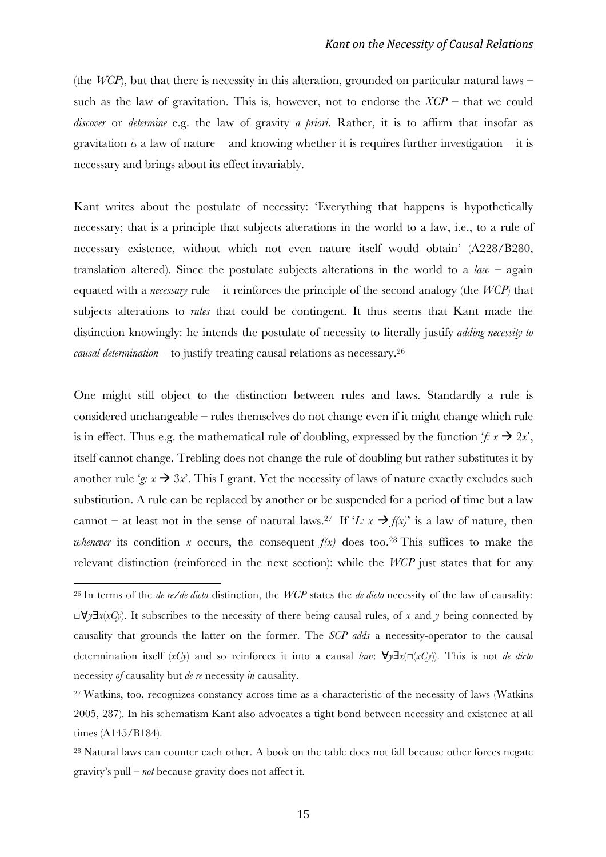(the *WCP*), but that there is necessity in this alteration, grounded on particular natural laws – such as the law of gravitation. This is, however, not to endorse the  $XCP$  – that we could *discover* or *determine* e.g. the law of gravity *a priori*. Rather, it is to affirm that insofar as gravitation *is* a law of nature – and knowing whether it is requires further investigation – it is necessary and brings about its effect invariably.

Kant writes about the postulate of necessity: 'Everything that happens is hypothetically necessary; that is a principle that subjects alterations in the world to a law, i.e., to a rule of necessary existence, without which not even nature itself would obtain' (A228/B280, translation altered). Since the postulate subjects alterations in the world to a *law* – again equated with a *necessary* rule – it reinforces the principle of the second analogy (the *WCP*) that subjects alterations to *rules* that could be contingent. It thus seems that Kant made the distinction knowingly: he intends the postulate of necessity to literally justify *adding necessity to causal determination* – to justify treating causal relations as necessary. 26

One might still object to the distinction between rules and laws. Standardly a rule is considered unchangeable – rules themselves do not change even if it might change which rule is in effect. Thus e.g. the mathematical rule of doubling, expressed by the function  $f: x \rightarrow 2x'$ , itself cannot change. Trebling does not change the rule of doubling but rather substitutes it by another rule '*g*:  $x \rightarrow 3x'$ . This I grant. Yet the necessity of laws of nature exactly excludes such substitution. A rule can be replaced by another or be suspended for a period of time but a law cannot – at least not in the sense of natural laws.<sup>27</sup> If '*L: x*  $\rightarrow$  *f(x)*' is a law of nature, then *whenever* its condition *x* occurs, the consequent  $f(x)$  does too.<sup>28</sup> This suffices to make the relevant distinction (reinforced in the next section): while the *WCP* just states that for any

<sup>26</sup> In terms of the *de re/de dicto* distinction, the *WCP* states the *de dicto* necessity of the law of causality: □∀*y*∃*x*(*xCy*). It subscribes to the necessity of there being causal rules, of *x* and *y* being connected by causality that grounds the latter on the former. The *SCP adds* a necessity-operator to the causal determination itself (*xCy*) and so reinforces it into a causal *law*: ∀*y*∃*x*(□(*xCy*)). This is not *de dicto* necessity *of* causality but *de re* necessity *in* causality.

<sup>27</sup> Watkins, too, recognizes constancy across time as a characteristic of the necessity of laws (Watkins 2005, 287). In his schematism Kant also advocates a tight bond between necessity and existence at all times (A145/B184).

<sup>&</sup>lt;sup>28</sup> Natural laws can counter each other. A book on the table does not fall because other forces negate gravity's pull – *not* because gravity does not affect it.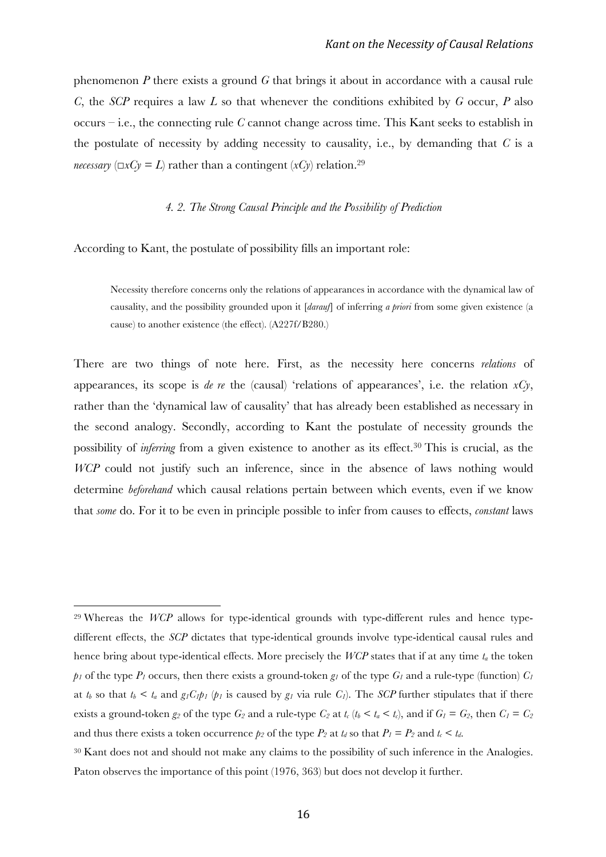phenomenon *P* there exists a ground *G* that brings it about in accordance with a causal rule *C*, the *SCP* requires a law *L* so that whenever the conditions exhibited by *G* occur, *P* also occurs – i.e., the connecting rule *C* cannot change across time. This Kant seeks to establish in the postulate of necessity by adding necessity to causality, i.e., by demanding that *C* is a *necessary* ( $\Box x C y = L$ ) rather than a contingent ( $x C y$ ) relation.<sup>29</sup>

#### *4. 2. The Strong Causal Principle and the Possibility of Prediction*

According to Kant, the postulate of possibility fills an important role:

 

Necessity therefore concerns only the relations of appearances in accordance with the dynamical law of causality, and the possibility grounded upon it [*darauf*] of inferring *a priori* from some given existence (a cause) to another existence (the effect). (A227f/B280.)

There are two things of note here. First, as the necessity here concerns *relations* of appearances, its scope is *de re* the (causal) 'relations of appearances', i.e. the relation  $xCy$ , rather than the 'dynamical law of causality' that has already been established as necessary in the second analogy. Secondly, according to Kant the postulate of necessity grounds the possibility of *inferring* from a given existence to another as its effect. <sup>30</sup> This is crucial, as the *WCP* could not justify such an inference, since in the absence of laws nothing would determine *beforehand* which causal relations pertain between which events, even if we know that *some* do. For it to be even in principle possible to infer from causes to effects, *constant* laws

<sup>29</sup> Whereas the *WCP* allows for type-identical grounds with type-different rules and hence typedifferent effects, the *SCP* dictates that type-identical grounds involve type-identical causal rules and hence bring about type-identical effects. More precisely the *WCP* states that if at any time *ta* the token  $p_1$  of the type  $P_1$  occurs, then there exists a ground-token  $g_1$  of the type  $G_1$  and a rule-type (function)  $C_1$ at  $t_b$  so that  $t_b < t_a$  and  $g_l C_l p_l$  ( $p_l$  is caused by  $g_l$  via rule  $C_l$ ). The *SCP* further stipulates that if there exists a ground-token  $g_2$  of the type  $G_2$  and a rule-type  $C_2$  at  $t_c$  ( $t_b < t_a < t_c$ ), and if  $G_1 = G_2$ , then  $C_1 = C_2$ and thus there exists a token occurrence  $p_2$  of the type  $P_2$  at  $t_d$  so that  $P_1 = P_2$  and  $t_c < t_d$ .

<sup>30</sup> Kant does not and should not make any claims to the possibility of such inference in the Analogies. Paton observes the importance of this point (1976, 363) but does not develop it further.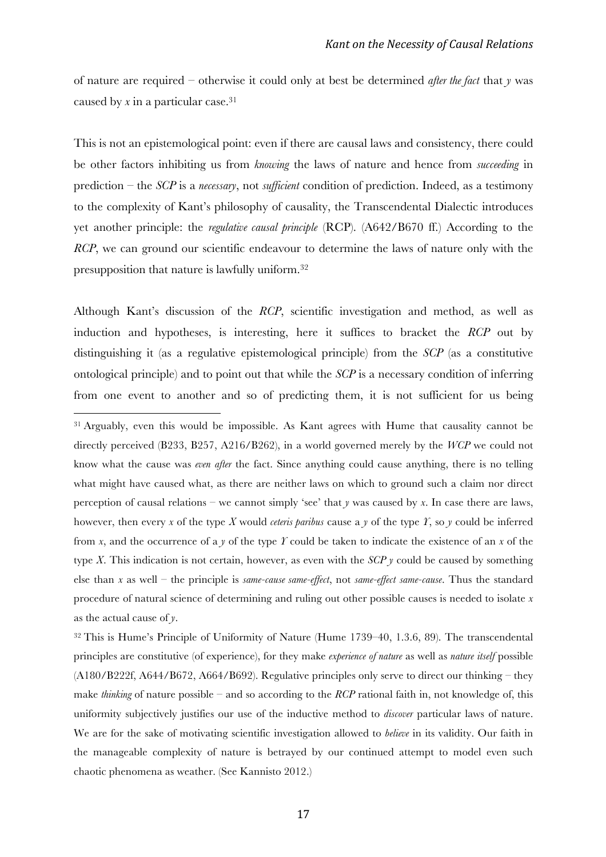of nature are required – otherwise it could only at best be determined *after the fact* that *y* was caused by *x* in a particular case. 31

This is not an epistemological point: even if there are causal laws and consistency, there could be other factors inhibiting us from *knowing* the laws of nature and hence from *succeeding* in prediction – the *SCP* is a *necessary*, not *sufficient* condition of prediction. Indeed, as a testimony to the complexity of Kant's philosophy of causality, the Transcendental Dialectic introduces yet another principle: the *regulative causal principle* (RCP). (A642/B670 ff.) According to the *RCP*, we can ground our scientific endeavour to determine the laws of nature only with the presupposition that nature is lawfully uniform.32

Although Kant's discussion of the *RCP*, scientific investigation and method, as well as induction and hypotheses, is interesting, here it suffices to bracket the *RCP* out by distinguishing it (as a regulative epistemological principle) from the *SCP* (as a constitutive ontological principle) and to point out that while the *SCP* is a necessary condition of inferring from one event to another and so of predicting them, it is not sufficient for us being

 

<sup>31</sup> Arguably, even this would be impossible. As Kant agrees with Hume that causality cannot be directly perceived (B233, B257, A216/B262), in a world governed merely by the *WCP* we could not know what the cause was *even after* the fact. Since anything could cause anything, there is no telling what might have caused what, as there are neither laws on which to ground such a claim nor direct perception of causal relations – we cannot simply 'see' that *y* was caused by *x*. In case there are laws, however, then every *x* of the type *X* would *ceteris paribus* cause a *y* of the type *Y*, so *y* could be inferred from *x*, and the occurrence of a *y* of the type *Y* could be taken to indicate the existence of an *x* of the type *X*. This indication is not certain, however, as even with the *SCP*  $\gamma$  could be caused by something else than *x* as well – the principle is *same-cause same-effect*, not *same-effect same-cause*. Thus the standard procedure of natural science of determining and ruling out other possible causes is needed to isolate *x* as the actual cause of *y*.

<sup>32</sup> This is Hume's Principle of Uniformity of Nature (Hume 1739–40, 1.3.6, 89). The transcendental principles are constitutive (of experience), for they make *experience of nature* as well as *nature itself* possible (A180/B222f, A644/B672, A664/B692). Regulative principles only serve to direct our thinking – they make *thinking* of nature possible – and so according to the *RCP* rational faith in, not knowledge of, this uniformity subjectively justifies our use of the inductive method to *discover* particular laws of nature. We are for the sake of motivating scientific investigation allowed to *believe* in its validity. Our faith in the manageable complexity of nature is betrayed by our continued attempt to model even such chaotic phenomena as weather. (See Kannisto 2012.)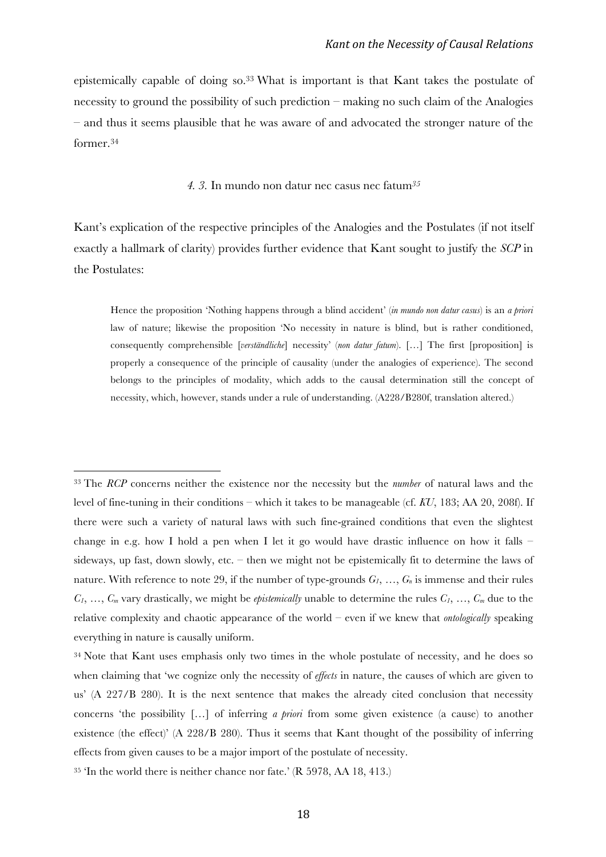epistemically capable of doing so.33 What is important is that Kant takes the postulate of necessity to ground the possibility of such prediction – making no such claim of the Analogies – and thus it seems plausible that he was aware of and advocated the stronger nature of the former.34

#### *4. 3.* In mundo non datur nec casus nec fatum*<sup>35</sup>*

Kant's explication of the respective principles of the Analogies and the Postulates (if not itself exactly a hallmark of clarity) provides further evidence that Kant sought to justify the *SCP* in the Postulates:

Hence the proposition 'Nothing happens through a blind accident' (*in mundo non datur casus*) is an *a priori* law of nature; likewise the proposition 'No necessity in nature is blind, but is rather conditioned, consequently comprehensible [*verständliche*] necessity' (*non datur fatum*). […] The first [proposition] is properly a consequence of the principle of causality (under the analogies of experience). The second belongs to the principles of modality, which adds to the causal determination still the concept of necessity, which, however, stands under a rule of understanding. (A228/B280f, translation altered.)

<sup>33</sup> The *RCP* concerns neither the existence nor the necessity but the *number* of natural laws and the level of fine-tuning in their conditions – which it takes to be manageable (cf. *KU*, 183; AA 20, 208f). If there were such a variety of natural laws with such fine-grained conditions that even the slightest change in e.g. how I hold a pen when I let it go would have drastic influence on how it falls – sideways, up fast, down slowly, etc. – then we might not be epistemically fit to determine the laws of nature. With reference to note 29, if the number of type-grounds  $G_1, \ldots, G_n$  is immense and their rules  $C_1, \ldots, C_m$  vary drastically, we might be *epistemically* unable to determine the rules  $C_1, \ldots, C_m$  due to the relative complexity and chaotic appearance of the world – even if we knew that *ontologically* speaking everything in nature is causally uniform.

<sup>&</sup>lt;sup>34</sup> Note that Kant uses emphasis only two times in the whole postulate of necessity, and he does so when claiming that 'we cognize only the necessity of *effects* in nature, the causes of which are given to us' (A 227/B 280). It is the next sentence that makes the already cited conclusion that necessity concerns 'the possibility […] of inferring *a priori* from some given existence (a cause) to another existence (the effect)' (A 228/B 280). Thus it seems that Kant thought of the possibility of inferring effects from given causes to be a major import of the postulate of necessity.

<sup>35</sup> 'In the world there is neither chance nor fate.' (R 5978, AA 18, 413.)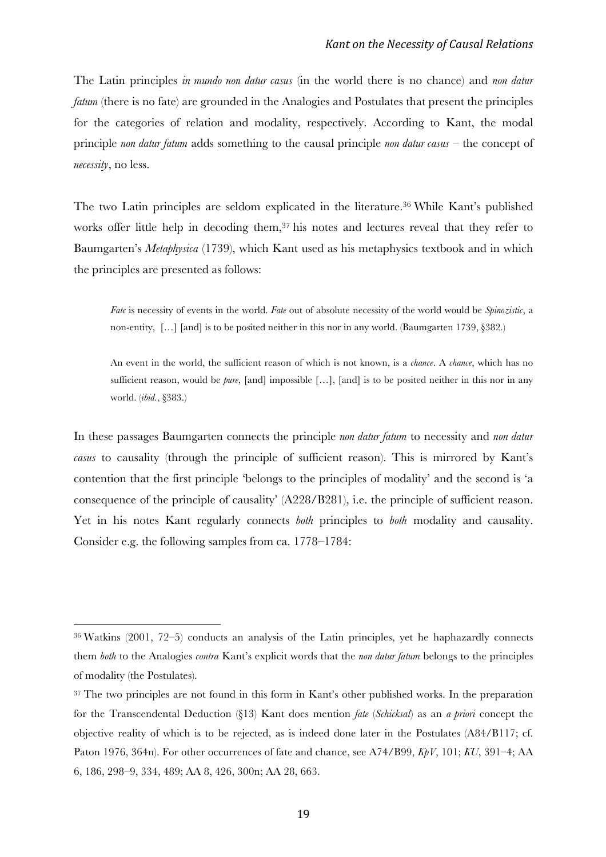The Latin principles *in mundo non datur casus* (in the world there is no chance) and *non datur fatum* (there is no fate) are grounded in the Analogies and Postulates that present the principles for the categories of relation and modality, respectively. According to Kant, the modal principle *non datur fatum* adds something to the causal principle *non datur casus* – the concept of *necessity*, no less.

The two Latin principles are seldom explicated in the literature.36 While Kant's published works offer little help in decoding them, <sup>37</sup> his notes and lectures reveal that they refer to Baumgarten's *Metaphysica* (1739), which Kant used as his metaphysics textbook and in which the principles are presented as follows:

*Fate* is necessity of events in the world. *Fate* out of absolute necessity of the world would be *Spinozistic*, a non-entity, […] [and] is to be posited neither in this nor in any world. (Baumgarten 1739, §382.)

An event in the world, the sufficient reason of which is not known, is a *chance*. A *chance*, which has no sufficient reason, would be *pure*, [and] impossible […], [and] is to be posited neither in this nor in any world. (*ibid.*, §383.)

In these passages Baumgarten connects the principle *non datur fatum* to necessity and *non datur casus* to causality (through the principle of sufficient reason). This is mirrored by Kant's contention that the first principle 'belongs to the principles of modality' and the second is 'a consequence of the principle of causality' (A228/B281), i.e. the principle of sufficient reason. Yet in his notes Kant regularly connects *both* principles to *both* modality and causality. Consider e.g. the following samples from ca. 1778–1784:

<sup>36</sup> Watkins (2001, 72–5) conducts an analysis of the Latin principles, yet he haphazardly connects them *both* to the Analogies *contra* Kant's explicit words that the *non datur fatum* belongs to the principles of modality (the Postulates).

<sup>&</sup>lt;sup>37</sup> The two principles are not found in this form in Kant's other published works. In the preparation for the Transcendental Deduction (§13) Kant does mention *fate* (*Schicksal*) as an *a priori* concept the objective reality of which is to be rejected, as is indeed done later in the Postulates (A84/B117; cf. Paton 1976, 364n). For other occurrences of fate and chance, see A74/B99, *KpV*, 101; *KU*, 391–4; AA 6, 186, 298–9, 334, 489; AA 8, 426, 300n; AA 28, 663.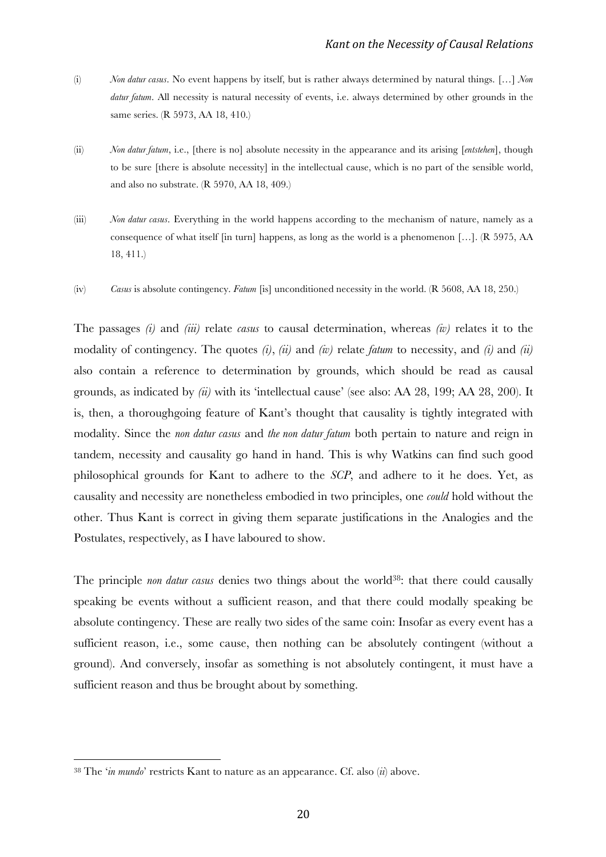- (i) *Non datur casus*. No event happens by itself, but is rather always determined by natural things. […] *Non datur fatum*. All necessity is natural necessity of events, i.e. always determined by other grounds in the same series. (R 5973, AA 18, 410.)
- (ii) *Non datur fatum*, i.e., [there is no] absolute necessity in the appearance and its arising [*entstehen*], though to be sure [there is absolute necessity] in the intellectual cause, which is no part of the sensible world, and also no substrate. (R 5970, AA 18, 409.)
- (iii) *Non datur casus*. Everything in the world happens according to the mechanism of nature, namely as a consequence of what itself [in turn] happens, as long as the world is a phenomenon […]. (R 5975, AA 18, 411.)
- (iv) *Casus* is absolute contingency. *Fatum* [is] unconditioned necessity in the world. (R 5608, AA 18, 250.)

The passages *(i)* and *(iii)* relate *casus* to causal determination, whereas *(iv)* relates it to the modality of contingency. The quotes *(i)*, *(ii)* and *(iv)* relate *fatum* to necessity, and *(i)* and *(ii)* also contain a reference to determination by grounds, which should be read as causal grounds, as indicated by *(ii)* with its 'intellectual cause' (see also: AA 28, 199; AA 28, 200). It is, then, a thoroughgoing feature of Kant's thought that causality is tightly integrated with modality. Since the *non datur casus* and *the non datur fatum* both pertain to nature and reign in tandem, necessity and causality go hand in hand. This is why Watkins can find such good philosophical grounds for Kant to adhere to the *SCP*, and adhere to it he does. Yet, as causality and necessity are nonetheless embodied in two principles, one *could* hold without the other. Thus Kant is correct in giving them separate justifications in the Analogies and the Postulates, respectively, as I have laboured to show.

The principle *non datur casus* denies two things about the world<sup>38</sup>: that there could causally speaking be events without a sufficient reason, and that there could modally speaking be absolute contingency. These are really two sides of the same coin: Insofar as every event has a sufficient reason, i.e., some cause, then nothing can be absolutely contingent (without a ground). And conversely, insofar as something is not absolutely contingent, it must have a sufficient reason and thus be brought about by something.

<sup>38</sup> The '*in mundo*' restricts Kant to nature as an appearance. Cf. also (*ii*) above.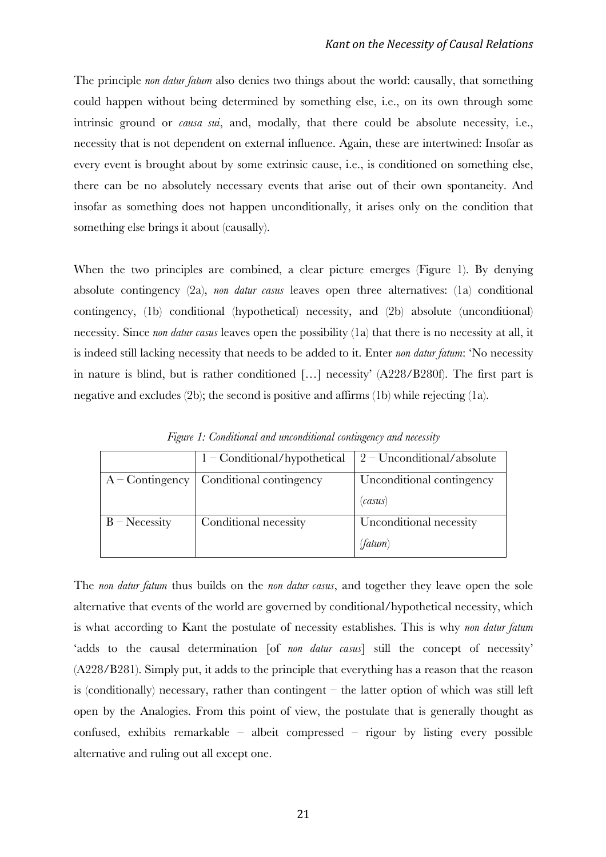The principle *non datur fatum* also denies two things about the world: causally, that something could happen without being determined by something else, i.e., on its own through some intrinsic ground or *causa sui*, and, modally, that there could be absolute necessity, i.e., necessity that is not dependent on external influence. Again, these are intertwined: Insofar as every event is brought about by some extrinsic cause, i.e., is conditioned on something else, there can be no absolutely necessary events that arise out of their own spontaneity. And insofar as something does not happen unconditionally, it arises only on the condition that something else brings it about (causally).

When the two principles are combined, a clear picture emerges (Figure 1). By denying absolute contingency (2a), *non datur casus* leaves open three alternatives: (1a) conditional contingency, (1b) conditional (hypothetical) necessity, and (2b) absolute (unconditional) necessity. Since *non datur casus* leaves open the possibility (1a) that there is no necessity at all, it is indeed still lacking necessity that needs to be added to it. Enter *non datur fatum*: 'No necessity in nature is blind, but is rather conditioned […] necessity' (A228/B280f). The first part is negative and excludes (2b); the second is positive and affirms (1b) while rejecting (1a).

|                  | $1 -$ Conditional/hypothetical              | $\frac{1}{2}$ – Unconditional/absolute |
|------------------|---------------------------------------------|----------------------------------------|
|                  | $A -$ Contingency   Conditional contingency | Unconditional contingency              |
|                  |                                             | (casus)                                |
| $B - N$ ecessity | Conditional necessity                       | Unconditional necessity                |
|                  |                                             | (fatum)                                |

*Figure 1: Conditional and unconditional contingency and necessity*

The *non datur fatum* thus builds on the *non datur casus*, and together they leave open the sole alternative that events of the world are governed by conditional/hypothetical necessity, which is what according to Kant the postulate of necessity establishes. This is why *non datur fatum* 'adds to the causal determination [of *non datur casus*] still the concept of necessity' (A228/B281). Simply put, it adds to the principle that everything has a reason that the reason is (conditionally) necessary, rather than contingent – the latter option of which was still left open by the Analogies. From this point of view, the postulate that is generally thought as confused, exhibits remarkable – albeit compressed – rigour by listing every possible alternative and ruling out all except one.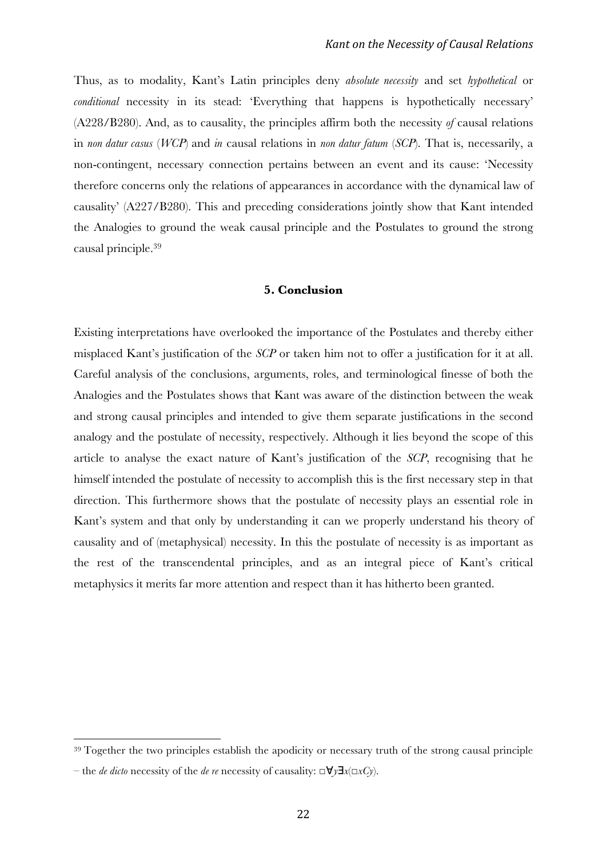Thus, as to modality, Kant's Latin principles deny *absolute necessity* and set *hypothetical* or *conditional* necessity in its stead: 'Everything that happens is hypothetically necessary' (A228/B280). And, as to causality, the principles affirm both the necessity *of* causal relations in *non datur casus* (*WCP*) and *in* causal relations in *non datur fatum* (*SCP*). That is, necessarily, a non-contingent, necessary connection pertains between an event and its cause: 'Necessity therefore concerns only the relations of appearances in accordance with the dynamical law of causality' (A227/B280). This and preceding considerations jointly show that Kant intended the Analogies to ground the weak causal principle and the Postulates to ground the strong causal principle.39

### **5. Conclusion**

Existing interpretations have overlooked the importance of the Postulates and thereby either misplaced Kant's justification of the *SCP* or taken him not to offer a justification for it at all. Careful analysis of the conclusions, arguments, roles, and terminological finesse of both the Analogies and the Postulates shows that Kant was aware of the distinction between the weak and strong causal principles and intended to give them separate justifications in the second analogy and the postulate of necessity, respectively. Although it lies beyond the scope of this article to analyse the exact nature of Kant's justification of the *SCP*, recognising that he himself intended the postulate of necessity to accomplish this is the first necessary step in that direction. This furthermore shows that the postulate of necessity plays an essential role in Kant's system and that only by understanding it can we properly understand his theory of causality and of (metaphysical) necessity. In this the postulate of necessity is as important as the rest of the transcendental principles, and as an integral piece of Kant's critical metaphysics it merits far more attention and respect than it has hitherto been granted.

<sup>39</sup> Together the two principles establish the apodicity or necessary truth of the strong causal principle

<sup>–</sup> the *de dicto* necessity of the *de re* necessity of causality: *□*∀*y*∃*x*(*□xCy*).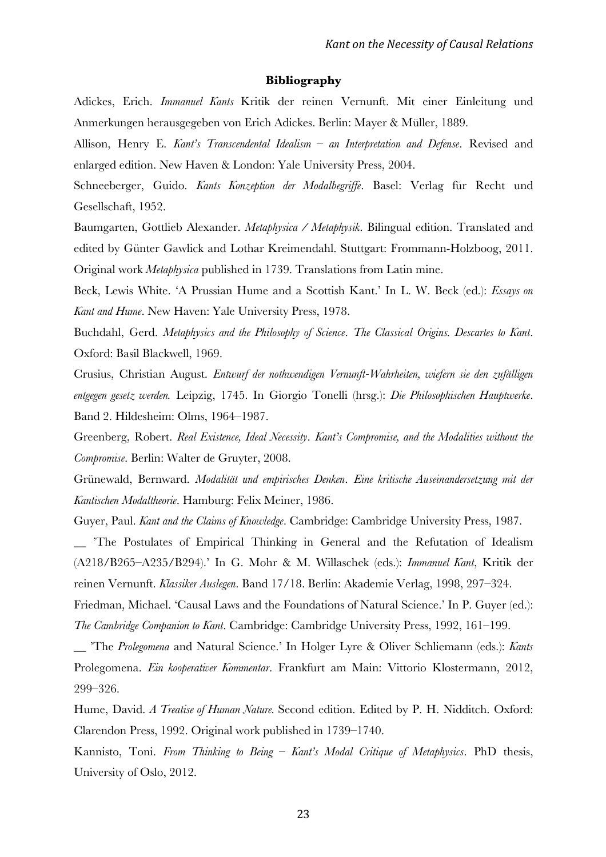#### **Bibliography**

Adickes, Erich. *Immanuel Kants* Kritik der reinen Vernunft. Mit einer Einleitung und Anmerkungen herausgegeben von Erich Adickes. Berlin: Mayer & Müller, 1889.

Allison, Henry E. *Kant's Transcendental Idealism – an Interpretation and Defense*. Revised and enlarged edition. New Haven & London: Yale University Press, 2004.

Schneeberger, Guido. *Kants Konzeption der Modalbegriffe*. Basel: Verlag für Recht und Gesellschaft, 1952.

Baumgarten, Gottlieb Alexander. *Metaphysica / Metaphysik*. Bilingual edition. Translated and edited by Günter Gawlick and Lothar Kreimendahl. Stuttgart: Frommann-Holzboog, 2011. Original work *Metaphysica* published in 1739. Translations from Latin mine.

Beck, Lewis White. 'A Prussian Hume and a Scottish Kant.' In L. W. Beck (ed.): *Essays on Kant and Hume*. New Haven: Yale University Press, 1978.

Buchdahl, Gerd. *Metaphysics and the Philosophy of Science*. *The Classical Origins. Descartes to Kant*. Oxford: Basil Blackwell, 1969.

Crusius, Christian August. *Entwurf der nothwendigen Vernunft-Wahrheiten, wiefern sie den zufälligen entgegen gesetz werden.* Leipzig, 1745. In Giorgio Tonelli (hrsg.): *Die Philosophischen Hauptwerke*. Band 2. Hildesheim: Olms, 1964–1987.

Greenberg, Robert. *Real Existence, Ideal Necessity*. *Kant's Compromise, and the Modalities without the Compromise*. Berlin: Walter de Gruyter, 2008.

Grünewald, Bernward. *Modalität und empirisches Denken*. *Eine kritische Auseinandersetzung mit der Kantischen Modaltheorie*. Hamburg: Felix Meiner, 1986.

Guyer, Paul. *Kant and the Claims of Knowledge*. Cambridge: Cambridge University Press, 1987.

\_\_ 'The Postulates of Empirical Thinking in General and the Refutation of Idealism (A218/B265–A235/B294).' In G. Mohr & M. Willaschek (eds.): *Immanuel Kant*, Kritik der reinen Vernunft. *Klassiker Auslegen*. Band 17/18. Berlin: Akademie Verlag, 1998, 297–324.

Friedman, Michael. 'Causal Laws and the Foundations of Natural Science.' In P. Guyer (ed.): *The Cambridge Companion to Kant*. Cambridge: Cambridge University Press, 1992, 161–199.

\_\_ 'The *Prolegomena* and Natural Science.' In Holger Lyre & Oliver Schliemann (eds.): *Kants*  Prolegomena. *Ein kooperativer Kommentar*. Frankfurt am Main: Vittorio Klostermann, 2012, 299–326.

Hume, David. *A Treatise of Human Nature.* Second edition. Edited by P. H. Nidditch. Oxford: Clarendon Press, 1992. Original work published in 1739–1740.

Kannisto, Toni. *From Thinking to Being – Kant's Modal Critique of Metaphysics*. PhD thesis, University of Oslo, 2012.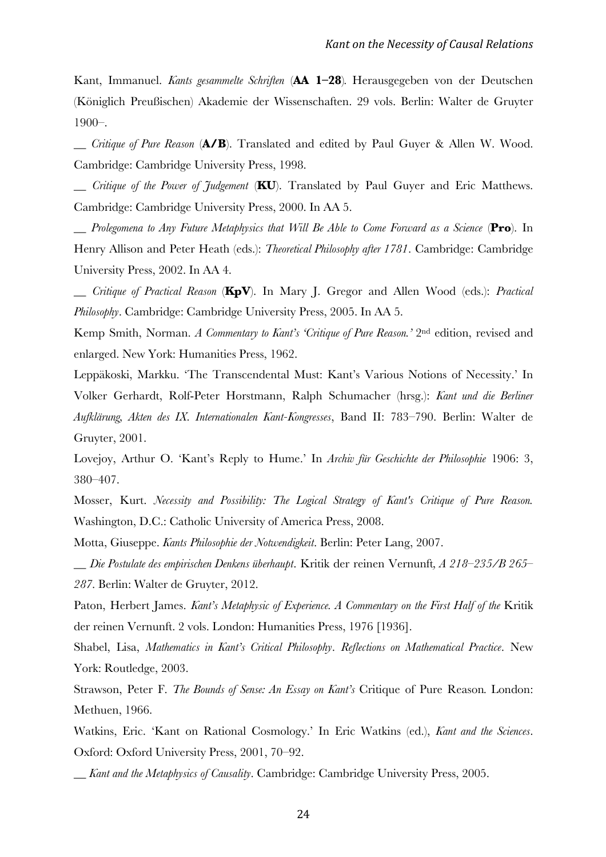Kant, Immanuel. *Kants gesammelte Schriften* (**AA 1–28**)*.* Herausgegeben von der Deutschen (Königlich Preußischen) Akademie der Wissenschaften. 29 vols. Berlin: Walter de Gruyter 1900–.

\_\_ *Critique of Pure Reason* (**A/B**). Translated and edited by Paul Guyer & Allen W. Wood. Cambridge: Cambridge University Press, 1998.

*Critique of the Power of Tudgement* (**KU**). Translated by Paul Guyer and Eric Matthews. Cambridge: Cambridge University Press, 2000. In AA 5.

\_\_ *Prolegomena to Any Future Metaphysics that Will Be Able to Come Forward as a Science* (**Pro**). In Henry Allison and Peter Heath (eds.): *Theoretical Philosophy after 1781*. Cambridge: Cambridge University Press, 2002. In AA 4.

\_\_ *Critique of Practical Reason* (**KpV**). In Mary J. Gregor and Allen Wood (eds.): *Practical Philosophy*. Cambridge: Cambridge University Press, 2005. In AA 5.

Kemp Smith, Norman. *A Commentary to Kant's 'Critique of Pure Reason.'* 2nd edition, revised and enlarged. New York: Humanities Press, 1962.

Leppäkoski, Markku. 'The Transcendental Must: Kant's Various Notions of Necessity.' In Volker Gerhardt, Rolf-Peter Horstmann, Ralph Schumacher (hrsg.): *Kant und die Berliner Aufklärung, Akten des IX. Internationalen Kant-Kongresses*, Band II: 783–790. Berlin: Walter de Gruyter, 2001.

Lovejoy, Arthur O. 'Kant's Reply to Hume.' In *Archiv für Geschichte der Philosophie* 1906: 3, 380–407.

Mosser, Kurt. *Necessity and Possibility: The Logical Strategy of Kant's Critique of Pure Reason.* Washington, D.C.: Catholic University of America Press, 2008.

Motta, Giuseppe. *Kants Philosophie der Notwendigkeit*. Berlin: Peter Lang, 2007.

\_\_ *Die Postulate des empirischen Denkens überhaupt*. Kritik der reinen Vernunft*, A 218–235/B 265– 287*. Berlin: Walter de Gruyter, 2012.

Paton, Herbert James. *Kant's Metaphysic of Experience. A Commentary on the First Half of the* Kritik der reinen Vernunft. 2 vols. London: Humanities Press, 1976 [1936].

Shabel, Lisa, *Mathematics in Kant's Critical Philosophy*. *Reflections on Mathematical Practice*. New York: Routledge, 2003.

Strawson, Peter F. *The Bounds of Sense: An Essay on Kant's* Critique of Pure Reason*.* London: Methuen, 1966.

Watkins, Eric. 'Kant on Rational Cosmology.' In Eric Watkins (ed.), *Kant and the Sciences*. Oxford: Oxford University Press, 2001, 70–92.

\_\_ *Kant and the Metaphysics of Causality*. Cambridge: Cambridge University Press, 2005.